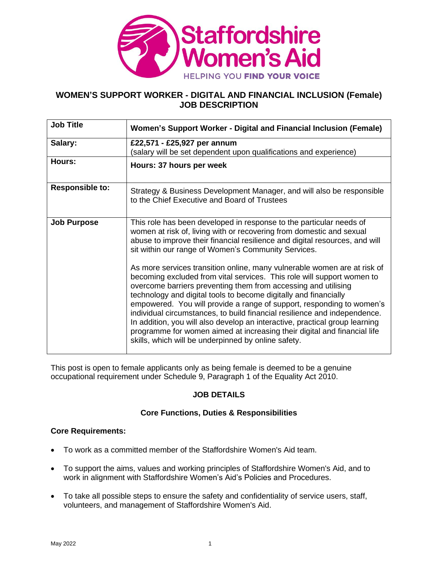

# **WOMEN'S SUPPORT WORKER - DIGITAL AND FINANCIAL INCLUSION (Female) JOB DESCRIPTION**

| <b>Job Title</b>       | Women's Support Worker - Digital and Financial Inclusion (Female)                                                                                                                                                                                                                                                                                                                                                                                                                                                                                                                                                                                                |  |  |
|------------------------|------------------------------------------------------------------------------------------------------------------------------------------------------------------------------------------------------------------------------------------------------------------------------------------------------------------------------------------------------------------------------------------------------------------------------------------------------------------------------------------------------------------------------------------------------------------------------------------------------------------------------------------------------------------|--|--|
| Salary:                | £22,571 - £25,927 per annum<br>(salary will be set dependent upon qualifications and experience)                                                                                                                                                                                                                                                                                                                                                                                                                                                                                                                                                                 |  |  |
| Hours:                 | Hours: 37 hours per week                                                                                                                                                                                                                                                                                                                                                                                                                                                                                                                                                                                                                                         |  |  |
| <b>Responsible to:</b> | Strategy & Business Development Manager, and will also be responsible<br>to the Chief Executive and Board of Trustees                                                                                                                                                                                                                                                                                                                                                                                                                                                                                                                                            |  |  |
| <b>Job Purpose</b>     | This role has been developed in response to the particular needs of<br>women at risk of, living with or recovering from domestic and sexual<br>abuse to improve their financial resilience and digital resources, and will<br>sit within our range of Women's Community Services.                                                                                                                                                                                                                                                                                                                                                                                |  |  |
|                        | As more services transition online, many vulnerable women are at risk of<br>becoming excluded from vital services. This role will support women to<br>overcome barriers preventing them from accessing and utilising<br>technology and digital tools to become digitally and financially<br>empowered. You will provide a range of support, responding to women's<br>individual circumstances, to build financial resilience and independence.<br>In addition, you will also develop an interactive, practical group learning<br>programme for women aimed at increasing their digital and financial life<br>skills, which will be underpinned by online safety. |  |  |

This post is open to female applicants only as being female is deemed to be a genuine occupational requirement under Schedule 9, Paragraph 1 of the Equality Act 2010.

# **JOB DETAILS**

# **Core Functions, Duties & Responsibilities**

## **Core Requirements:**

- To work as a committed member of the Staffordshire Women's Aid team.
- To support the aims, values and working principles of Staffordshire Women's Aid, and to work in alignment with Staffordshire Women's Aid's Policies and Procedures.
- To take all possible steps to ensure the safety and confidentiality of service users, staff, volunteers, and management of Staffordshire Women's Aid.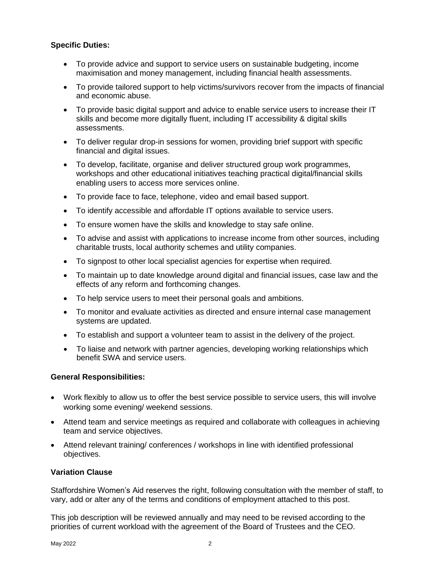## **Specific Duties:**

- To provide advice and support to service users on sustainable budgeting, income maximisation and money management, including financial health assessments.
- To provide tailored support to help victims/survivors recover from the impacts of financial and economic abuse.
- To provide basic digital support and advice to enable service users to increase their IT skills and become more digitally fluent, including IT accessibility & digital skills assessments.
- To deliver regular drop-in sessions for women, providing brief support with specific financial and digital issues.
- To develop, facilitate, organise and deliver structured group work programmes, workshops and other educational initiatives teaching practical digital/financial skills enabling users to access more services online.
- To provide face to face, telephone, video and email based support.
- To identify accessible and affordable IT options available to service users.
- To ensure women have the skills and knowledge to stay safe online.
- To advise and assist with applications to increase income from other sources, including charitable trusts, local authority schemes and utility companies.
- To signpost to other local specialist agencies for expertise when required.
- To maintain up to date knowledge around digital and financial issues, case law and the effects of any reform and forthcoming changes.
- To help service users to meet their personal goals and ambitions.
- To monitor and evaluate activities as directed and ensure internal case management systems are updated.
- To establish and support a volunteer team to assist in the delivery of the project.
- To liaise and network with partner agencies, developing working relationships which benefit SWA and service users.

#### **General Responsibilities:**

- Work flexibly to allow us to offer the best service possible to service users, this will involve working some evening/ weekend sessions.
- Attend team and service meetings as required and collaborate with colleagues in achieving team and service objectives.
- Attend relevant training/ conferences / workshops in line with identified professional objectives.

## **Variation Clause**

Staffordshire Women's Aid reserves the right, following consultation with the member of staff, to vary, add or alter any of the terms and conditions of employment attached to this post.

This job description will be reviewed annually and may need to be revised according to the priorities of current workload with the agreement of the Board of Trustees and the CEO.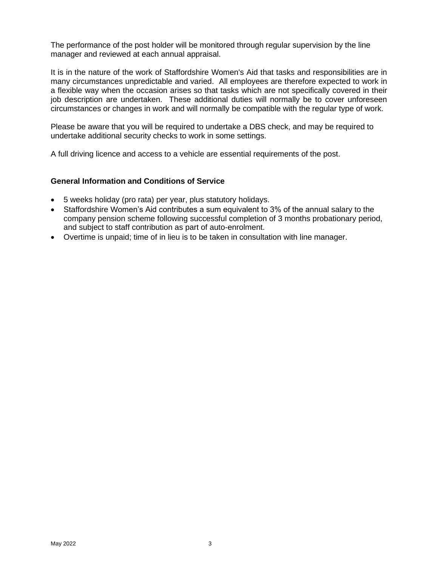The performance of the post holder will be monitored through regular supervision by the line manager and reviewed at each annual appraisal.

It is in the nature of the work of Staffordshire Women's Aid that tasks and responsibilities are in many circumstances unpredictable and varied. All employees are therefore expected to work in a flexible way when the occasion arises so that tasks which are not specifically covered in their job description are undertaken. These additional duties will normally be to cover unforeseen circumstances or changes in work and will normally be compatible with the regular type of work.

Please be aware that you will be required to undertake a DBS check, and may be required to undertake additional security checks to work in some settings.

A full driving licence and access to a vehicle are essential requirements of the post.

### **General Information and Conditions of Service**

- 5 weeks holiday (pro rata) per year, plus statutory holidays.
- Staffordshire Women's Aid contributes a sum equivalent to 3% of the annual salary to the company pension scheme following successful completion of 3 months probationary period, and subject to staff contribution as part of auto-enrolment.
- Overtime is unpaid; time of in lieu is to be taken in consultation with line manager.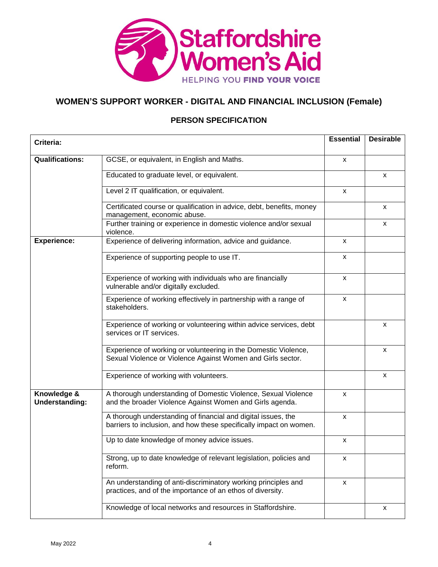

# **WOMEN'S SUPPORT WORKER - DIGITAL AND FINANCIAL INCLUSION (Female)**

# **PERSON SPECIFICATION**

| Criteria:                            |                                                                                                                                     | <b>Essential</b> | <b>Desirable</b>          |
|--------------------------------------|-------------------------------------------------------------------------------------------------------------------------------------|------------------|---------------------------|
| <b>Qualifications:</b>               | GCSE, or equivalent, in English and Maths.                                                                                          | x                |                           |
|                                      |                                                                                                                                     |                  |                           |
|                                      | Educated to graduate level, or equivalent.                                                                                          |                  | x                         |
|                                      | Level 2 IT qualification, or equivalent.                                                                                            | X                |                           |
|                                      | Certificated course or qualification in advice, debt, benefits, money<br>management, economic abuse.                                |                  | х                         |
|                                      | Further training or experience in domestic violence and/or sexual<br>violence.                                                      |                  | x                         |
| <b>Experience:</b>                   | Experience of delivering information, advice and guidance.                                                                          | х                |                           |
|                                      | Experience of supporting people to use IT.                                                                                          | x                |                           |
|                                      | Experience of working with individuals who are financially<br>vulnerable and/or digitally excluded.                                 | x                |                           |
|                                      | Experience of working effectively in partnership with a range of<br>stakeholders.                                                   | X                |                           |
|                                      | Experience of working or volunteering within advice services, debt<br>services or IT services.                                      |                  | $\boldsymbol{\mathsf{x}}$ |
|                                      | Experience of working or volunteering in the Domestic Violence,<br>Sexual Violence or Violence Against Women and Girls sector.      |                  | X                         |
|                                      | Experience of working with volunteers.                                                                                              |                  | X                         |
| Knowledge &<br><b>Understanding:</b> | A thorough understanding of Domestic Violence, Sexual Violence<br>and the broader Violence Against Women and Girls agenda.          | X                |                           |
|                                      | A thorough understanding of financial and digital issues, the<br>barriers to inclusion, and how these specifically impact on women. | X                |                           |
|                                      | Up to date knowledge of money advice issues.                                                                                        | $\mathsf{x}$     |                           |
|                                      | Strong, up to date knowledge of relevant legislation, policies and<br>reform.                                                       | X                |                           |
|                                      | An understanding of anti-discriminatory working principles and<br>practices, and of the importance of an ethos of diversity.        | x                |                           |
|                                      | Knowledge of local networks and resources in Staffordshire.                                                                         |                  | x                         |